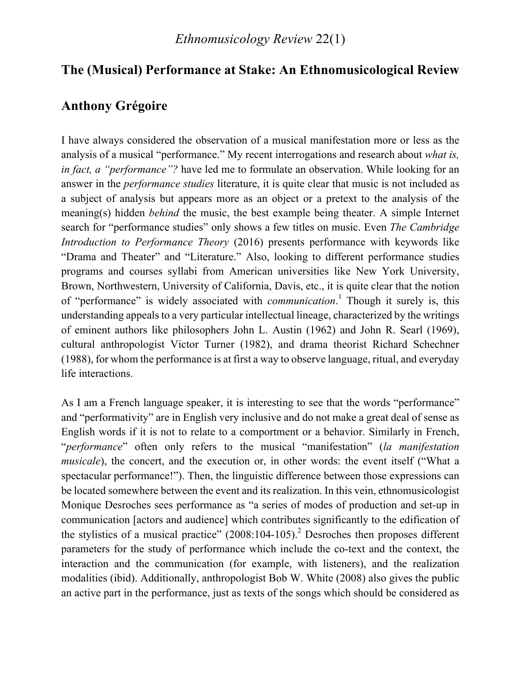## **The (Musical) Performance at Stake: An Ethnomusicological Review**

## **Anthony Grégoire**

I have always considered the observation of a musical manifestation more or less as the analysis of a musical "performance." My recent interrogations and research about *what is, in fact, a "performance"?* have led me to formulate an observation. While looking for an answer in the *performance studies* literature, it is quite clear that music is not included as a subject of analysis but appears more as an object or a pretext to the analysis of the meaning(s) hidden *behind* the music, the best example being theater. A simple Internet search for "performance studies" only shows a few titles on music. Even *The Cambridge Introduction to Performance Theory* (2016) presents performance with keywords like "Drama and Theater" and "Literature." Also, looking to different performance studies programs and courses syllabi from American universities like New York University, Brown, Northwestern, University of California, Davis, etc., it is quite clear that the notion of "performance" is widely associated with *communication*. <sup>1</sup> Though it surely is, this understanding appeals to a very particular intellectual lineage, characterized by the writings of eminent authors like philosophers John L. Austin (1962) and John R. Searl (1969), cultural anthropologist Victor Turner (1982), and drama theorist Richard Schechner (1988), for whom the performance is at first a way to observe language, ritual, and everyday life interactions.

As I am a French language speaker, it is interesting to see that the words "performance" and "performativity" are in English very inclusive and do not make a great deal of sense as English words if it is not to relate to a comportment or a behavior. Similarly in French, "*performance*" often only refers to the musical "manifestation" (*la manifestation musicale*), the concert, and the execution or, in other words: the event itself ("What a spectacular performance!"). Then, the linguistic difference between those expressions can be located somewhere between the event and its realization. In this vein, ethnomusicologist Monique Desroches sees performance as "a series of modes of production and set-up in communication [actors and audience] which contributes significantly to the edification of the stylistics of a musical practice"  $(2008:104-105)$ <sup>2</sup> Desroches then proposes different parameters for the study of performance which include the co-text and the context, the interaction and the communication (for example, with listeners), and the realization modalities (ibid). Additionally, anthropologist Bob W. White (2008) also gives the public an active part in the performance, just as texts of the songs which should be considered as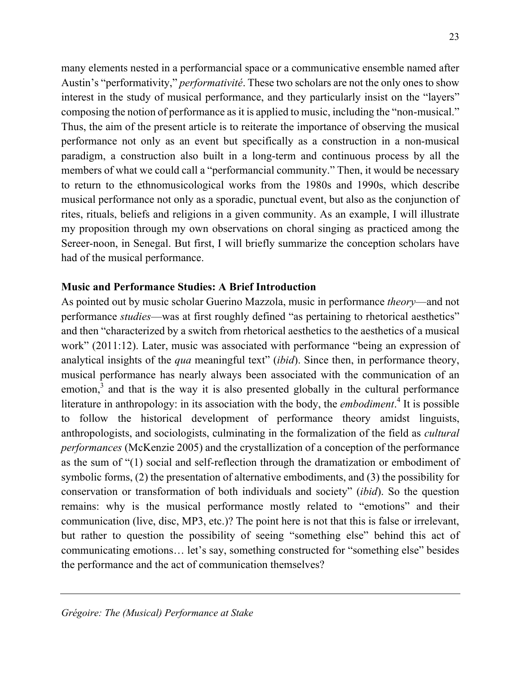many elements nested in a performancial space or a communicative ensemble named after Austin's "performativity," *performativité*. These two scholars are not the only ones to show interest in the study of musical performance, and they particularly insist on the "layers" composing the notion of performance as it is applied to music, including the "non-musical." Thus, the aim of the present article is to reiterate the importance of observing the musical performance not only as an event but specifically as a construction in a non-musical paradigm, a construction also built in a long-term and continuous process by all the members of what we could call a "performancial community." Then, it would be necessary to return to the ethnomusicological works from the 1980s and 1990s, which describe musical performance not only as a sporadic, punctual event, but also as the conjunction of rites, rituals, beliefs and religions in a given community. As an example, I will illustrate my proposition through my own observations on choral singing as practiced among the Sereer-noon, in Senegal. But first, I will briefly summarize the conception scholars have had of the musical performance.

#### **Music and Performance Studies: A Brief Introduction**

As pointed out by music scholar Guerino Mazzola, music in performance *theory*—and not performance *studies*—was at first roughly defined "as pertaining to rhetorical aesthetics" and then "characterized by a switch from rhetorical aesthetics to the aesthetics of a musical work" (2011:12). Later, music was associated with performance "being an expression of analytical insights of the *qua* meaningful text" (*ibid*). Since then, in performance theory, musical performance has nearly always been associated with the communication of an emotion,<sup>3</sup> and that is the way it is also presented globally in the cultural performance literature in anthropology: in its association with the body, the *embodiment*. <sup>4</sup> It is possible to follow the historical development of performance theory amidst linguists, anthropologists, and sociologists, culminating in the formalization of the field as *cultural performances* (McKenzie 2005) and the crystallization of a conception of the performance as the sum of "(1) social and self-reflection through the dramatization or embodiment of symbolic forms, (2) the presentation of alternative embodiments, and (3) the possibility for conservation or transformation of both individuals and society" (*ibid*). So the question remains: why is the musical performance mostly related to "emotions" and their communication (live, disc, MP3, etc.)? The point here is not that this is false or irrelevant, but rather to question the possibility of seeing "something else" behind this act of communicating emotions… let's say, something constructed for "something else" besides the performance and the act of communication themselves?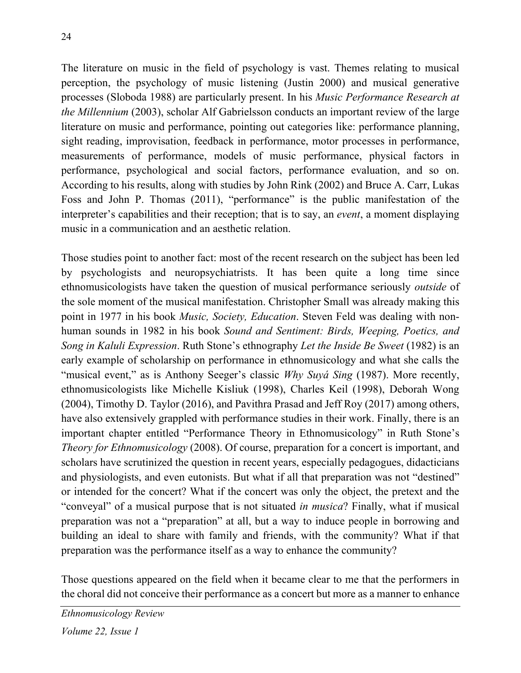The literature on music in the field of psychology is vast. Themes relating to musical perception, the psychology of music listening (Justin 2000) and musical generative processes (Sloboda 1988) are particularly present. In his *Music Performance Research at the Millennium* (2003), scholar Alf Gabrielsson conducts an important review of the large literature on music and performance, pointing out categories like: performance planning, sight reading, improvisation, feedback in performance, motor processes in performance, measurements of performance, models of music performance, physical factors in performance, psychological and social factors, performance evaluation, and so on. According to his results, along with studies by John Rink (2002) and Bruce A. Carr, Lukas Foss and John P. Thomas (2011), "performance" is the public manifestation of the interpreter's capabilities and their reception; that is to say, an *event*, a moment displaying music in a communication and an aesthetic relation.

Those studies point to another fact: most of the recent research on the subject has been led by psychologists and neuropsychiatrists. It has been quite a long time since ethnomusicologists have taken the question of musical performance seriously *outside* of the sole moment of the musical manifestation. Christopher Small was already making this point in 1977 in his book *Music, Society, Education*. Steven Feld was dealing with nonhuman sounds in 1982 in his book *Sound and Sentiment: Birds, Weeping, Poetics, and Song in Kaluli Expression*. Ruth Stone's ethnography *Let the Inside Be Sweet* (1982) is an early example of scholarship on performance in ethnomusicology and what she calls the "musical event," as is Anthony Seeger's classic *Why Suyá Sing* (1987). More recently, ethnomusicologists like Michelle Kisliuk (1998), Charles Keil (1998), Deborah Wong (2004), Timothy D. Taylor (2016), and Pavithra Prasad and Jeff Roy (2017) among others, have also extensively grappled with performance studies in their work. Finally, there is an important chapter entitled "Performance Theory in Ethnomusicology" in Ruth Stone's *Theory for Ethnomusicology* (2008). Of course, preparation for a concert is important, and scholars have scrutinized the question in recent years, especially pedagogues, didacticians and physiologists, and even eutonists. But what if all that preparation was not "destined" or intended for the concert? What if the concert was only the object, the pretext and the "conveyal" of a musical purpose that is not situated *in musica*? Finally, what if musical preparation was not a "preparation" at all, but a way to induce people in borrowing and building an ideal to share with family and friends, with the community? What if that preparation was the performance itself as a way to enhance the community?

Those questions appeared on the field when it became clear to me that the performers in the choral did not conceive their performance as a concert but more as a manner to enhance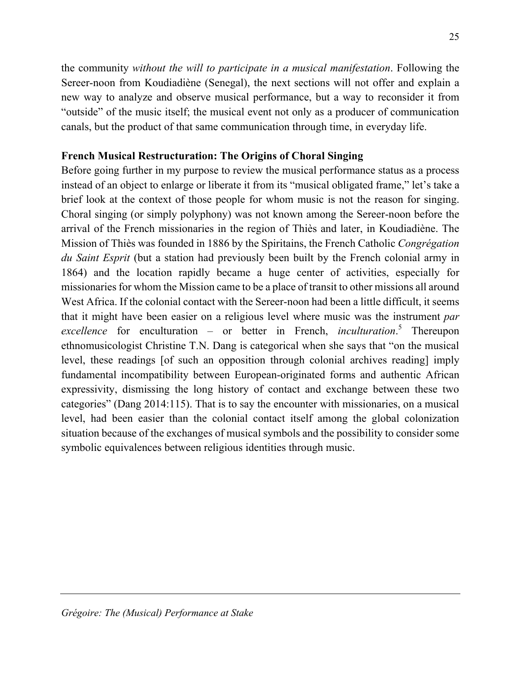the community *without the will to participate in a musical manifestation*. Following the Sereer-noon from Koudiadiène (Senegal), the next sections will not offer and explain a new way to analyze and observe musical performance, but a way to reconsider it from "outside" of the music itself; the musical event not only as a producer of communication canals, but the product of that same communication through time, in everyday life.

#### **French Musical Restructuration: The Origins of Choral Singing**

Before going further in my purpose to review the musical performance status as a process instead of an object to enlarge or liberate it from its "musical obligated frame," let's take a brief look at the context of those people for whom music is not the reason for singing. Choral singing (or simply polyphony) was not known among the Sereer-noon before the arrival of the French missionaries in the region of Thiès and later, in Koudiadiène. The Mission of Thiès was founded in 1886 by the Spiritains, the French Catholic *Congrégation du Saint Esprit* (but a station had previously been built by the French colonial army in 1864) and the location rapidly became a huge center of activities, especially for missionaries for whom the Mission came to be a place of transit to other missions all around West Africa. If the colonial contact with the Sereer-noon had been a little difficult, it seems that it might have been easier on a religious level where music was the instrument *par excellence* for enculturation – or better in French, *inculturation*. <sup>5</sup> Thereupon ethnomusicologist Christine T.N. Dang is categorical when she says that "on the musical level, these readings [of such an opposition through colonial archives reading] imply fundamental incompatibility between European-originated forms and authentic African expressivity, dismissing the long history of contact and exchange between these two categories" (Dang 2014:115). That is to say the encounter with missionaries, on a musical level, had been easier than the colonial contact itself among the global colonization situation because of the exchanges of musical symbols and the possibility to consider some symbolic equivalences between religious identities through music.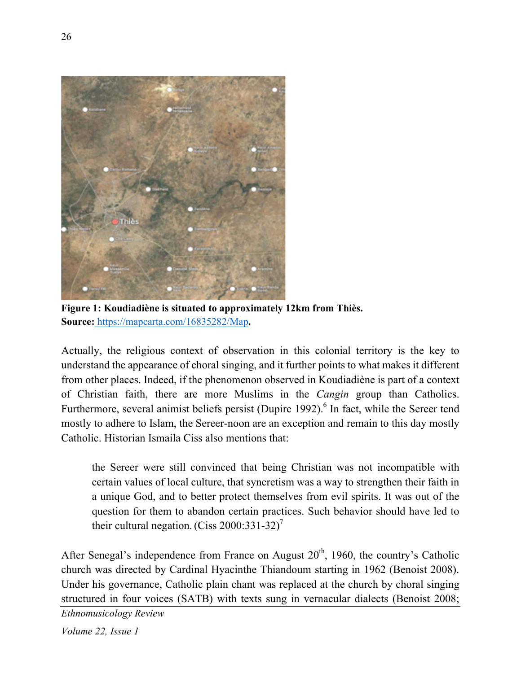

**Figure 1: Koudiadiène is situated to approximately 12km from Thiès. Source:** https://mapcarta.com/16835282/Map**.**

Actually, the religious context of observation in this colonial territory is the key to understand the appearance of choral singing, and it further points to what makes it different from other places. Indeed, if the phenomenon observed in Koudiadiène is part of a context of Christian faith, there are more Muslims in the *Cangin* group than Catholics. Furthermore, several animist beliefs persist (Dupire 1992).<sup>6</sup> In fact, while the Sereer tend mostly to adhere to Islam, the Sereer-noon are an exception and remain to this day mostly Catholic. Historian Ismaila Ciss also mentions that:

the Sereer were still convinced that being Christian was not incompatible with certain values of local culture, that syncretism was a way to strengthen their faith in a unique God, and to better protect themselves from evil spirits. It was out of the question for them to abandon certain practices. Such behavior should have led to their cultural negation. (Ciss 2000:331-32)<sup>7</sup>

After Senegal's independence from France on August  $20<sup>th</sup>$ , 1960, the country's Catholic church was directed by Cardinal Hyacinthe Thiandoum starting in 1962 (Benoist 2008). Under his governance, Catholic plain chant was replaced at the church by choral singing structured in four voices (SATB) with texts sung in vernacular dialects (Benoist 2008;

*Ethnomusicology Review*

*Volume 22, Issue 1*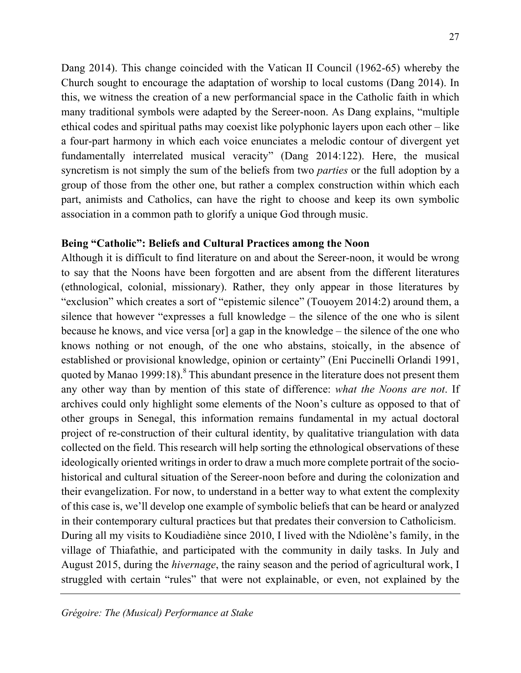Dang 2014). This change coincided with the Vatican II Council (1962-65) whereby the Church sought to encourage the adaptation of worship to local customs (Dang 2014). In this, we witness the creation of a new performancial space in the Catholic faith in which many traditional symbols were adapted by the Sereer-noon. As Dang explains, "multiple ethical codes and spiritual paths may coexist like polyphonic layers upon each other – like a four-part harmony in which each voice enunciates a melodic contour of divergent yet fundamentally interrelated musical veracity" (Dang 2014:122). Here, the musical syncretism is not simply the sum of the beliefs from two *parties* or the full adoption by a group of those from the other one, but rather a complex construction within which each part, animists and Catholics, can have the right to choose and keep its own symbolic association in a common path to glorify a unique God through music.

#### **Being "Catholic": Beliefs and Cultural Practices among the Noon**

Although it is difficult to find literature on and about the Sereer-noon, it would be wrong to say that the Noons have been forgotten and are absent from the different literatures (ethnological, colonial, missionary). Rather, they only appear in those literatures by "exclusion" which creates a sort of "epistemic silence" (Touoyem 2014:2) around them, a silence that however "expresses a full knowledge – the silence of the one who is silent because he knows, and vice versa [or] a gap in the knowledge – the silence of the one who knows nothing or not enough, of the one who abstains, stoically, in the absence of established or provisional knowledge, opinion or certainty" (Eni Puccinelli Orlandi 1991, quoted by Manao 1999:18).<sup>8</sup> This abundant presence in the literature does not present them any other way than by mention of this state of difference: *what the Noons are not*. If archives could only highlight some elements of the Noon's culture as opposed to that of other groups in Senegal, this information remains fundamental in my actual doctoral project of re-construction of their cultural identity, by qualitative triangulation with data collected on the field. This research will help sorting the ethnological observations of these ideologically oriented writings in order to draw a much more complete portrait of the sociohistorical and cultural situation of the Sereer-noon before and during the colonization and their evangelization. For now, to understand in a better way to what extent the complexity of this case is, we'll develop one example of symbolic beliefs that can be heard or analyzed in their contemporary cultural practices but that predates their conversion to Catholicism. During all my visits to Koudiadiène since 2010, I lived with the Ndiolène's family, in the village of Thiafathie, and participated with the community in daily tasks. In July and August 2015, during the *hivernage*, the rainy season and the period of agricultural work, I struggled with certain "rules" that were not explainable, or even, not explained by the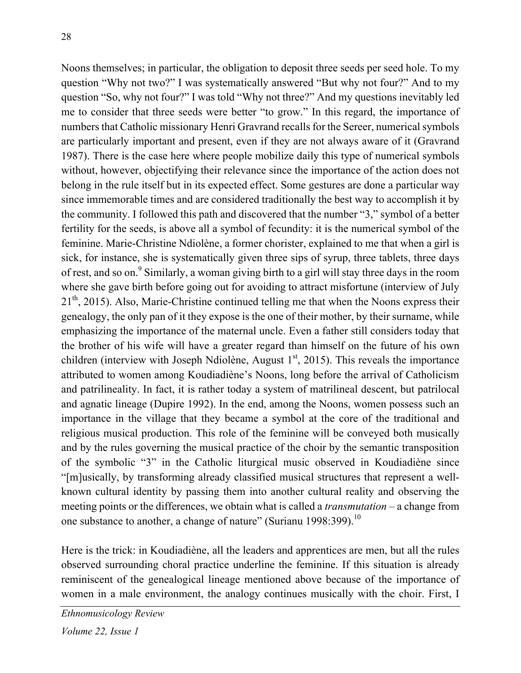Noons themselves; in particular, the obligation to deposit three seeds per seed hole. To my question "Why not two?" I was systematically answered "But why not four?" And to my question "So, why not four?" I was told "Why not three?" And my questions inevitably led me to consider that three seeds were better "to grow." In this regard, the importance of numbers that Catholic missionary Henri Gravrand recalls for the Sereer, numerical symbols are particularly important and present, even if they are not always aware of it (Gravrand 1987). There is the case here where people mobilize daily this type of numerical symbols without, however, objectifying their relevance since the importance of the action does not belong in the rule itself but in its expected effect. Some gestures are done a particular way since immemorable times and are considered traditionally the best way to accomplish it by the community. I followed this path and discovered that the number "3," symbol of a better fertility for the seeds, is above all a symbol of fecundity: it is the numerical symbol of the feminine. Marie-Christine Ndiolène, a former chorister, explained to me that when a girl is sick, for instance, she is systematically given three sips of syrup, three tablets, three days of rest, and so on.<sup>9</sup> Similarly, a woman giving birth to a girl will stay three days in the room where she gave birth before going out for avoiding to attract misfortune (interview of July  $21<sup>th</sup>$ , 2015). Also, Marie-Christine continued telling me that when the Noons express their genealogy, the only pan of it they expose is the one of their mother, by their surname, while emphasizing the importance of the maternal uncle. Even a father still considers today that the brother of his wife will have a greater regard than himself on the future of his own children (interview with Joseph Ndiolène, August  $1<sup>st</sup>$ , 2015). This reveals the importance attributed to women among Koudiadiène's Noons, long before the arrival of Catholicism and patrilineality. In fact, it is rather today a system of matrilineal descent, but patrilocal and agnatic lineage (Dupire 1992). In the end, among the Noons, women possess such an importance in the village that they became a symbol at the core of the traditional and religious musical production. This role of the feminine will be conveyed both musically and by the rules governing the musical practice of the choir by the semantic transposition of the symbolic "3" in the Catholic liturgical music observed in Koudiadiène since "[m]usically, by transforming already classified musical structures that represent a wellknown cultural identity by passing them into another cultural reality and observing the meeting points or the differences, we obtain what is called a *transmutation* – a change from one substance to another, a change of nature" (Surianu 1998:399).<sup>10</sup>

Here is the trick: in Koudiadiène, all the leaders and apprentices are men, but all the rules observed surrounding choral practice underline the feminine. If this situation is already reminiscent of the genealogical lineage mentioned above because of the importance of women in a male environment, the analogy continues musically with the choir. First, I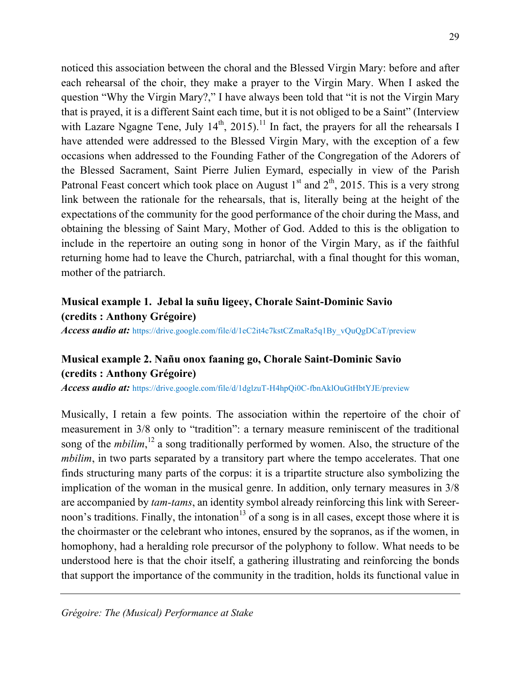noticed this association between the choral and the Blessed Virgin Mary: before and after each rehearsal of the choir, they make a prayer to the Virgin Mary. When I asked the question "Why the Virgin Mary?," I have always been told that "it is not the Virgin Mary that is prayed, it is a different Saint each time, but it is not obliged to be a Saint" (Interview with Lazare Ngagne Tene, July  $14<sup>th</sup>$ , 2015).<sup>11</sup> In fact, the prayers for all the rehearsals I have attended were addressed to the Blessed Virgin Mary, with the exception of a few occasions when addressed to the Founding Father of the Congregation of the Adorers of the Blessed Sacrament, Saint Pierre Julien Eymard, especially in view of the Parish Patronal Feast concert which took place on August  $1<sup>st</sup>$  and  $2<sup>th</sup>$ , 2015. This is a very strong link between the rationale for the rehearsals, that is, literally being at the height of the expectations of the community for the good performance of the choir during the Mass, and obtaining the blessing of Saint Mary, Mother of God. Added to this is the obligation to include in the repertoire an outing song in honor of the Virgin Mary, as if the faithful returning home had to leave the Church, patriarchal, with a final thought for this woman, mother of the patriarch.

### **Musical example 1. Jebal la suñu ligeey, Chorale Saint-Dominic Savio (credits : Anthony Grégoire)**

*Access audio at:* https://drive.google.com/file/d/1eC2it4c7kstCZmaRa5q1By\_vQuQgDCaT/preview

## **Musical example 2. Nañu onox faaning go, Chorale Saint-Dominic Savio (credits : Anthony Grégoire)**

*Access audio at:* https://drive.google.com/file/d/1dglzuT-H4hpQi0C-fbnAklOuGtHbtYJE/preview

Musically, I retain a few points. The association within the repertoire of the choir of measurement in 3/8 only to "tradition": a ternary measure reminiscent of the traditional song of the *mbilim*,<sup>12</sup> a song traditionally performed by women. Also, the structure of the *mbilim*, in two parts separated by a transitory part where the tempo accelerates. That one finds structuring many parts of the corpus: it is a tripartite structure also symbolizing the implication of the woman in the musical genre. In addition, only ternary measures in 3/8 are accompanied by *tam-tams*, an identity symbol already reinforcing this link with Sereernoon's traditions. Finally, the intonation<sup>13</sup> of a song is in all cases, except those where it is the choirmaster or the celebrant who intones, ensured by the sopranos, as if the women, in homophony, had a heralding role precursor of the polyphony to follow. What needs to be understood here is that the choir itself, a gathering illustrating and reinforcing the bonds that support the importance of the community in the tradition, holds its functional value in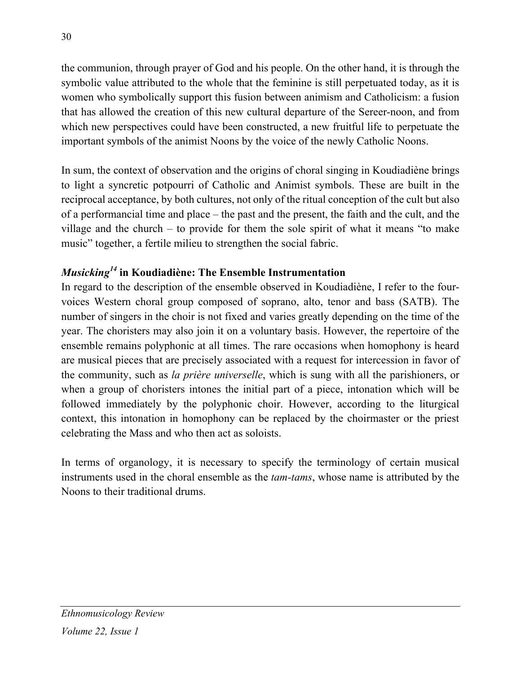the communion, through prayer of God and his people. On the other hand, it is through the symbolic value attributed to the whole that the feminine is still perpetuated today, as it is women who symbolically support this fusion between animism and Catholicism: a fusion that has allowed the creation of this new cultural departure of the Sereer-noon, and from which new perspectives could have been constructed, a new fruitful life to perpetuate the important symbols of the animist Noons by the voice of the newly Catholic Noons.

In sum, the context of observation and the origins of choral singing in Koudiadiène brings to light a syncretic potpourri of Catholic and Animist symbols. These are built in the reciprocal acceptance, by both cultures, not only of the ritual conception of the cult but also of a performancial time and place – the past and the present, the faith and the cult, and the village and the church – to provide for them the sole spirit of what it means "to make music" together, a fertile milieu to strengthen the social fabric.

# *Musicking<sup>14</sup>* **in Koudiadiène: The Ensemble Instrumentation**

In regard to the description of the ensemble observed in Koudiadiène, I refer to the fourvoices Western choral group composed of soprano, alto, tenor and bass (SATB). The number of singers in the choir is not fixed and varies greatly depending on the time of the year. The choristers may also join it on a voluntary basis. However, the repertoire of the ensemble remains polyphonic at all times. The rare occasions when homophony is heard are musical pieces that are precisely associated with a request for intercession in favor of the community, such as *la prière universelle*, which is sung with all the parishioners, or when a group of choristers intones the initial part of a piece, intonation which will be followed immediately by the polyphonic choir. However, according to the liturgical context, this intonation in homophony can be replaced by the choirmaster or the priest celebrating the Mass and who then act as soloists.

In terms of organology, it is necessary to specify the terminology of certain musical instruments used in the choral ensemble as the *tam-tams*, whose name is attributed by the Noons to their traditional drums.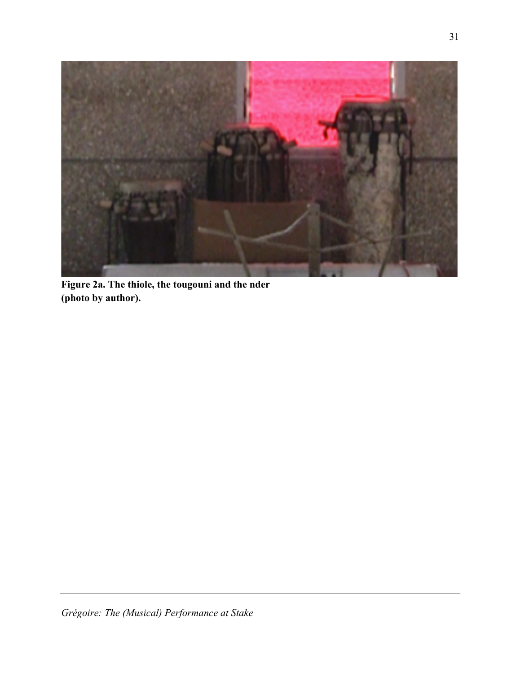

**Figure 2a. The thiole, the tougouni and the nder (photo by author).**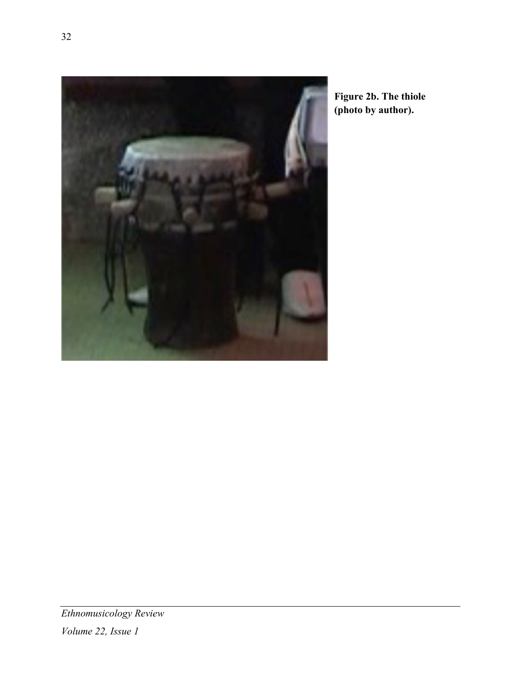

**Figure 2b. The thiole (photo by author).**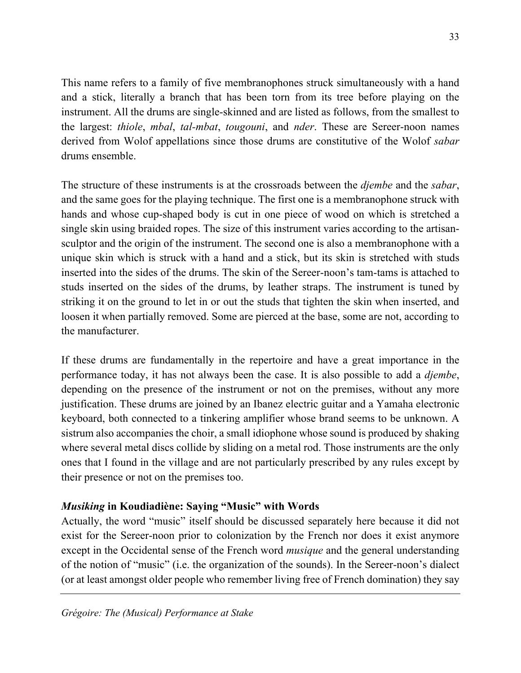This name refers to a family of five membranophones struck simultaneously with a hand and a stick, literally a branch that has been torn from its tree before playing on the instrument. All the drums are single-skinned and are listed as follows, from the smallest to the largest: *thiole*, *mbal*, *tal-mbat*, *tougouni*, and *nder*. These are Sereer-noon names derived from Wolof appellations since those drums are constitutive of the Wolof *sabar*  drums ensemble.

The structure of these instruments is at the crossroads between the *djembe* and the *sabar*, and the same goes for the playing technique. The first one is a membranophone struck with hands and whose cup-shaped body is cut in one piece of wood on which is stretched a single skin using braided ropes. The size of this instrument varies according to the artisansculptor and the origin of the instrument. The second one is also a membranophone with a unique skin which is struck with a hand and a stick, but its skin is stretched with studs inserted into the sides of the drums. The skin of the Sereer-noon's tam-tams is attached to studs inserted on the sides of the drums, by leather straps. The instrument is tuned by striking it on the ground to let in or out the studs that tighten the skin when inserted, and loosen it when partially removed. Some are pierced at the base, some are not, according to the manufacturer.

If these drums are fundamentally in the repertoire and have a great importance in the performance today, it has not always been the case. It is also possible to add a *djembe*, depending on the presence of the instrument or not on the premises, without any more justification. These drums are joined by an Ibanez electric guitar and a Yamaha electronic keyboard, both connected to a tinkering amplifier whose brand seems to be unknown. A sistrum also accompanies the choir, a small idiophone whose sound is produced by shaking where several metal discs collide by sliding on a metal rod. Those instruments are the only ones that I found in the village and are not particularly prescribed by any rules except by their presence or not on the premises too.

### *Musiking* **in Koudiadiène: Saying "Music" with Words**

Actually, the word "music" itself should be discussed separately here because it did not exist for the Sereer-noon prior to colonization by the French nor does it exist anymore except in the Occidental sense of the French word *musique* and the general understanding of the notion of "music" (i.e. the organization of the sounds). In the Sereer-noon's dialect (or at least amongst older people who remember living free of French domination) they say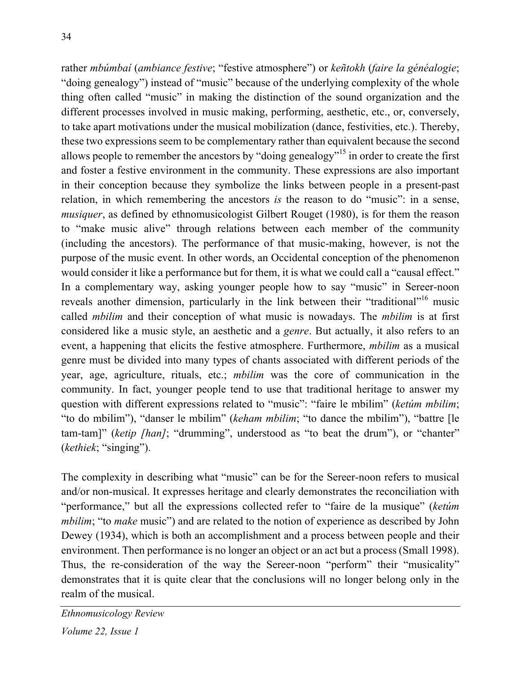rather *mbúmbaí* (*ambiance festive*; "festive atmosphere") or *keñtokh* (*faire la généalogie*; "doing genealogy") instead of "music" because of the underlying complexity of the whole thing often called "music" in making the distinction of the sound organization and the different processes involved in music making, performing, aesthetic, etc., or, conversely, to take apart motivations under the musical mobilization (dance, festivities, etc.). Thereby, these two expressions seem to be complementary rather than equivalent because the second allows people to remember the ancestors by "doing genealogy"15 in order to create the first and foster a festive environment in the community. These expressions are also important in their conception because they symbolize the links between people in a present-past relation, in which remembering the ancestors *is* the reason to do "music": in a sense, *musiquer*, as defined by ethnomusicologist Gilbert Rouget (1980), is for them the reason to "make music alive" through relations between each member of the community (including the ancestors). The performance of that music-making, however, is not the purpose of the music event. In other words, an Occidental conception of the phenomenon would consider it like a performance but for them, it is what we could call a "causal effect." In a complementary way, asking younger people how to say "music" in Sereer-noon reveals another dimension, particularly in the link between their "traditional"<sup>16</sup> music called *mbilim* and their conception of what music is nowadays. The *mbilim* is at first considered like a music style, an aesthetic and a *genre*. But actually, it also refers to an event, a happening that elicits the festive atmosphere. Furthermore, *mbilim* as a musical genre must be divided into many types of chants associated with different periods of the year, age, agriculture, rituals, etc.; *mbilim* was the core of communication in the community. In fact, younger people tend to use that traditional heritage to answer my question with different expressions related to "music": "faire le mbilim" (*ketúm mbilim*; "to do mbilim"), "danser le mbilim" (*keham mbilim*; "to dance the mbilim"), "battre [le tam-tam]" (*ketip [han]*; "drumming", understood as "to beat the drum"), or "chanter" (*kethiek*; "singing").

The complexity in describing what "music" can be for the Sereer-noon refers to musical and/or non-musical. It expresses heritage and clearly demonstrates the reconciliation with "performance," but all the expressions collected refer to "faire de la musique" (*ketúm mbilim*; "to *make* music") and are related to the notion of experience as described by John Dewey (1934), which is both an accomplishment and a process between people and their environment. Then performance is no longer an object or an act but a process (Small 1998). Thus, the re-consideration of the way the Sereer-noon "perform" their "musicality" demonstrates that it is quite clear that the conclusions will no longer belong only in the realm of the musical.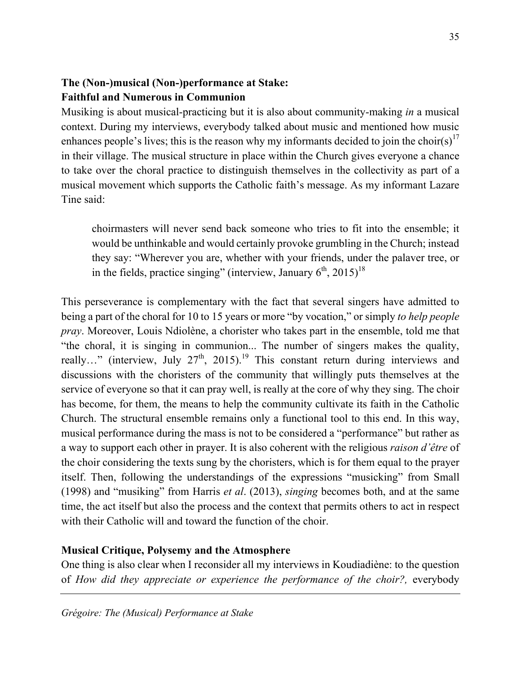## **The (Non-)musical (Non-)performance at Stake: Faithful and Numerous in Communion**

Musiking is about musical-practicing but it is also about community-making *in* a musical context. During my interviews, everybody talked about music and mentioned how music enhances people's lives; this is the reason why my informants decided to join the choir(s)<sup>17</sup> in their village. The musical structure in place within the Church gives everyone a chance to take over the choral practice to distinguish themselves in the collectivity as part of a musical movement which supports the Catholic faith's message. As my informant Lazare Tine said:

choirmasters will never send back someone who tries to fit into the ensemble; it would be unthinkable and would certainly provoke grumbling in the Church; instead they say: "Wherever you are, whether with your friends, under the palaver tree, or in the fields, practice singing" (interview, January  $6<sup>th</sup>$ , 2015)<sup>18</sup>

This perseverance is complementary with the fact that several singers have admitted to being a part of the choral for 10 to 15 years or more "by vocation," or simply *to help people pray*. Moreover, Louis Ndiolène, a chorister who takes part in the ensemble, told me that "the choral, it is singing in communion... The number of singers makes the quality, really..." (interview, July  $27<sup>th</sup>$ , 2015).<sup>19</sup> This constant return during interviews and discussions with the choristers of the community that willingly puts themselves at the service of everyone so that it can pray well, is really at the core of why they sing. The choir has become, for them, the means to help the community cultivate its faith in the Catholic Church. The structural ensemble remains only a functional tool to this end. In this way, musical performance during the mass is not to be considered a "performance" but rather as a way to support each other in prayer. It is also coherent with the religious *raison d'être* of the choir considering the texts sung by the choristers, which is for them equal to the prayer itself. Then, following the understandings of the expressions "musicking" from Small (1998) and "musiking" from Harris *et al*. (2013), *singing* becomes both, and at the same time, the act itself but also the process and the context that permits others to act in respect with their Catholic will and toward the function of the choir.

#### **Musical Critique, Polysemy and the Atmosphere**

One thing is also clear when I reconsider all my interviews in Koudiadiène: to the question of *How did they appreciate or experience the performance of the choir?,* everybody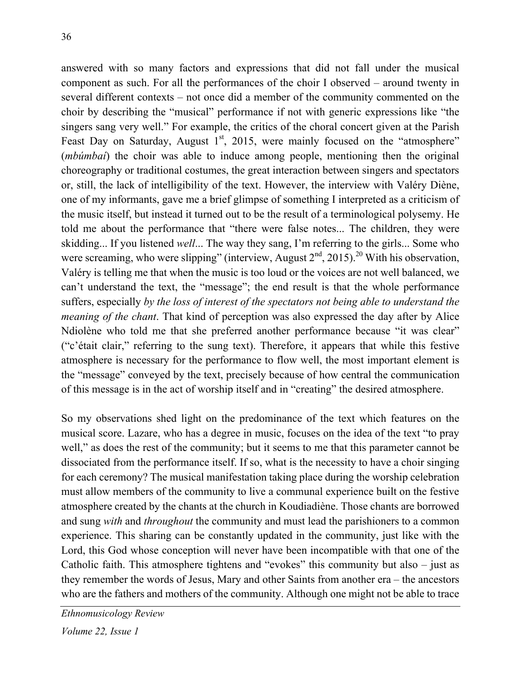answered with so many factors and expressions that did not fall under the musical component as such. For all the performances of the choir I observed – around twenty in several different contexts – not once did a member of the community commented on the choir by describing the "musical" performance if not with generic expressions like "the singers sang very well." For example, the critics of the choral concert given at the Parish Feast Day on Saturday, August  $1<sup>st</sup>$ , 2015, were mainly focused on the "atmosphere" (*mbúmbaí*) the choir was able to induce among people, mentioning then the original choreography or traditional costumes, the great interaction between singers and spectators or, still, the lack of intelligibility of the text. However, the interview with Valéry Diène, one of my informants, gave me a brief glimpse of something I interpreted as a criticism of the music itself, but instead it turned out to be the result of a terminological polysemy. He told me about the performance that "there were false notes... The children, they were skidding... If you listened *well*... The way they sang, I'm referring to the girls... Some who were screaming, who were slipping" (interview, August  $2<sup>nd</sup>$ , 2015).<sup>20</sup> With his observation, Valéry is telling me that when the music is too loud or the voices are not well balanced, we can't understand the text, the "message"; the end result is that the whole performance suffers, especially *by the loss of interest of the spectators not being able to understand the meaning of the chant*. That kind of perception was also expressed the day after by Alice Ndiolène who told me that she preferred another performance because "it was clear" ("c'était clair," referring to the sung text). Therefore, it appears that while this festive atmosphere is necessary for the performance to flow well, the most important element is the "message" conveyed by the text, precisely because of how central the communication of this message is in the act of worship itself and in "creating" the desired atmosphere.

So my observations shed light on the predominance of the text which features on the musical score. Lazare, who has a degree in music, focuses on the idea of the text "to pray well," as does the rest of the community; but it seems to me that this parameter cannot be dissociated from the performance itself. If so, what is the necessity to have a choir singing for each ceremony? The musical manifestation taking place during the worship celebration must allow members of the community to live a communal experience built on the festive atmosphere created by the chants at the church in Koudiadiène. Those chants are borrowed and sung *with* and *throughout* the community and must lead the parishioners to a common experience. This sharing can be constantly updated in the community, just like with the Lord, this God whose conception will never have been incompatible with that one of the Catholic faith. This atmosphere tightens and "evokes" this community but also – just as they remember the words of Jesus, Mary and other Saints from another era – the ancestors who are the fathers and mothers of the community. Although one might not be able to trace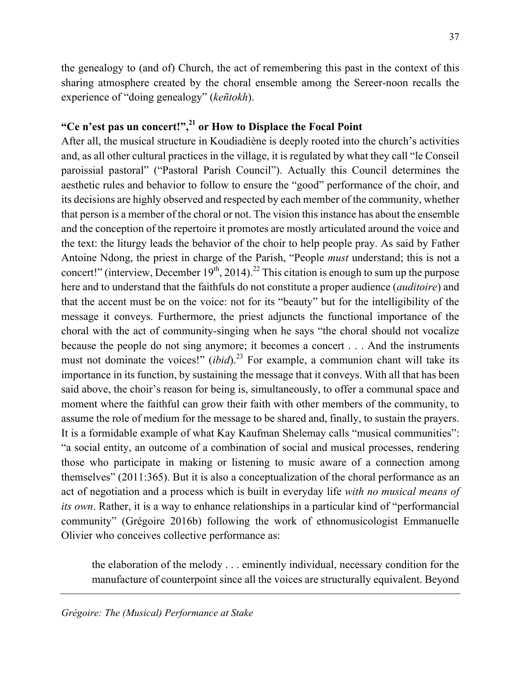the genealogy to (and of) Church, the act of remembering this past in the context of this sharing atmosphere created by the choral ensemble among the Sereer-noon recalls the experience of "doing genealogy" (*keñtokh*).

#### **"Ce n'est pas un concert!",21 or How to Displace the Focal Point**

After all, the musical structure in Koudiadiène is deeply rooted into the church's activities and, as all other cultural practices in the village, it is regulated by what they call "le Conseil paroissial pastoral" ("Pastoral Parish Council"). Actually this Council determines the aesthetic rules and behavior to follow to ensure the "good" performance of the choir, and its decisions are highly observed and respected by each member of the community, whether that person is a member of the choral or not. The vision this instance has about the ensemble and the conception of the repertoire it promotes are mostly articulated around the voice and the text: the liturgy leads the behavior of the choir to help people pray. As said by Father Antoine Ndong, the priest in charge of the Parish, "People *must* understand; this is not a concert!" (interview, December  $19<sup>th</sup>$ , 2014).<sup>22</sup> This citation is enough to sum up the purpose here and to understand that the faithfuls do not constitute a proper audience (*auditoire*) and that the accent must be on the voice: not for its "beauty" but for the intelligibility of the message it conveys. Furthermore, the priest adjuncts the functional importance of the choral with the act of community-singing when he says "the choral should not vocalize because the people do not sing anymore; it becomes a concert . . . And the instruments must not dominate the voices!" *(ibid)*.<sup>23</sup> For example, a communion chant will take its importance in its function, by sustaining the message that it conveys. With all that has been said above, the choir's reason for being is, simultaneously, to offer a communal space and moment where the faithful can grow their faith with other members of the community, to assume the role of medium for the message to be shared and, finally, to sustain the prayers. It is a formidable example of what Kay Kaufman Shelemay calls "musical communities": "a social entity, an outcome of a combination of social and musical processes, rendering those who participate in making or listening to music aware of a connection among themselves" (2011:365). But it is also a conceptualization of the choral performance as an act of negotiation and a process which is built in everyday life *with no musical means of its own*. Rather, it is a way to enhance relationships in a particular kind of "performancial community" (Grégoire 2016b) following the work of ethnomusicologist Emmanuelle Olivier who conceives collective performance as:

the elaboration of the melody . . . eminently individual, necessary condition for the manufacture of counterpoint since all the voices are structurally equivalent. Beyond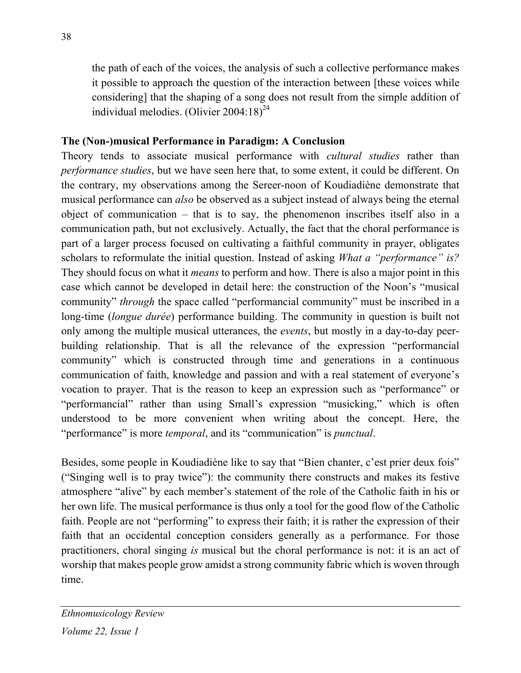the path of each of the voices, the analysis of such a collective performance makes it possible to approach the question of the interaction between [these voices while considering] that the shaping of a song does not result from the simple addition of individual melodies. (Olivier  $2004:18$ )<sup>24</sup>

#### **The (Non-)musical Performance in Paradigm: A Conclusion**

Theory tends to associate musical performance with *cultural studies* rather than *performance studies*, but we have seen here that, to some extent, it could be different. On the contrary, my observations among the Sereer-noon of Koudiadiène demonstrate that musical performance can *also* be observed as a subject instead of always being the eternal object of communication – that is to say, the phenomenon inscribes itself also in a communication path, but not exclusively. Actually, the fact that the choral performance is part of a larger process focused on cultivating a faithful community in prayer, obligates scholars to reformulate the initial question. Instead of asking *What a "performance" is?* They should focus on what it *means* to perform and how. There is also a major point in this case which cannot be developed in detail here: the construction of the Noon's "musical community" *through* the space called "performancial community" must be inscribed in a long-time (*longue durée*) performance building. The community in question is built not only among the multiple musical utterances, the *events*, but mostly in a day-to-day peerbuilding relationship. That is all the relevance of the expression "performancial community" which is constructed through time and generations in a continuous communication of faith, knowledge and passion and with a real statement of everyone's vocation to prayer. That is the reason to keep an expression such as "performance" or "performancial" rather than using Small's expression "musicking," which is often understood to be more convenient when writing about the concept. Here, the "performance" is more *temporal*, and its "communication" is *punctual*.

Besides, some people in Koudiadiène like to say that "Bien chanter, c'est prier deux fois" ("Singing well is to pray twice"): the community there constructs and makes its festive atmosphere "alive" by each member's statement of the role of the Catholic faith in his or her own life. The musical performance is thus only a tool for the good flow of the Catholic faith. People are not "performing" to express their faith; it is rather the expression of their faith that an occidental conception considers generally as a performance. For those practitioners, choral singing *is* musical but the choral performance is not: it is an act of worship that makes people grow amidst a strong community fabric which is woven through time.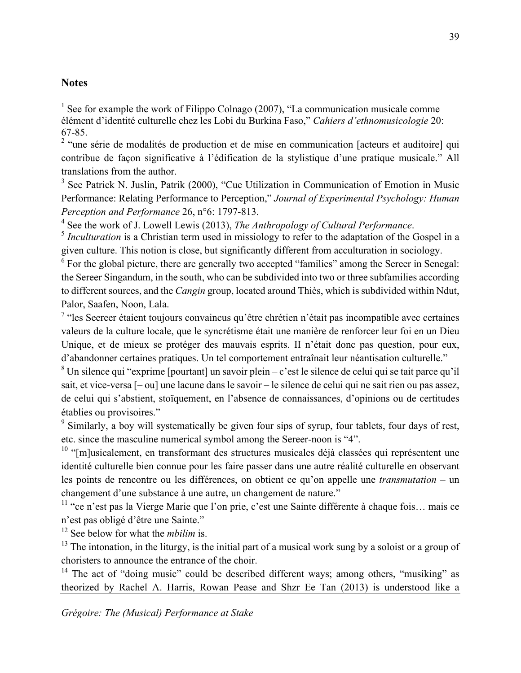#### **Notes**

 

 $<sup>1</sup>$  See for example the work of Filippo Colnago (2007), "La communication musicale comme</sup> élément d'identité culturelle chez les Lobi du Burkina Faso," *Cahiers d'ethnomusicologie* 20: 67-85.

<sup>2</sup> "une série de modalités de production et de mise en communication [acteurs et auditoire] qui contribue de façon significative à l'édification de la stylistique d'une pratique musicale." All translations from the author.

<sup>3</sup> See Patrick N. Juslin, Patrik (2000), "Cue Utilization in Communication of Emotion in Music Performance: Relating Performance to Perception," *Journal of Experimental Psychology: Human Perception and Performance* 26, n°6: 1797-813.

<sup>4</sup> See the work of J. Lowell Lewis (2013), *The Anthropology of Cultural Performance*.<br><sup>5</sup> *Inculturation* is a Christian term used in missiology to refer to the adaptation of the Gospel in a

given culture. This notion is close, but significantly different from acculturation in sociology.

 $6$  For the global picture, there are generally two accepted "families" among the Sereer in Senegal: the Sereer Singandum, in the south, who can be subdivided into two or three subfamilies according to different sources, and the *Cangin* group, located around Thiès, which is subdivided within Ndut, Palor, Saafen, Noon, Lala.

<sup>7</sup> "les Seereer étaient toujours convaincus qu'être chrétien n'était pas incompatible avec certaines valeurs de la culture locale, que le syncrétisme était une manière de renforcer leur foi en un Dieu Unique, et de mieux se protéger des mauvais esprits. II n'était donc pas question, pour eux, d'abandonner certaines pratiques. Un tel comportement entraînait leur néantisation culturelle."

<sup>8</sup> Un silence qui "exprime [pourtant] un savoir plein – c'est le silence de celui qui se tait parce qu'il sait, et vice-versa [– ou] une lacune dans le savoir – le silence de celui qui ne sait rien ou pas assez, de celui qui s'abstient, stoïquement, en l'absence de connaissances, d'opinions ou de certitudes établies ou provisoires."

<sup>9</sup> Similarly, a boy will systematically be given four sips of syrup, four tablets, four days of rest, etc. since the masculine numerical symbol among the Sereer-noon is "4".

 $10$  "[m]usicalement, en transformant des structures musicales déjà classées qui représentent une identité culturelle bien connue pour les faire passer dans une autre réalité culturelle en observant les points de rencontre ou les différences, on obtient ce qu'on appelle une *transmutation* – un changement d'une substance à une autre, un changement de nature."

 $11$  "ce n'est pas la Vierge Marie que l'on prie, c'est une Sainte différente à chaque fois... mais ce n'est pas obligé d'être une Sainte."

<sup>12</sup> See below for what the *mbilim* is.

 $13$  The intonation, in the liturgy, is the initial part of a musical work sung by a soloist or a group of choristers to announce the entrance of the choir.

<sup>14</sup> The act of "doing music" could be described different ways; among others, "musiking" as theorized by Rachel A. Harris, Rowan Pease and Shzr Ee Tan (2013) is understood like a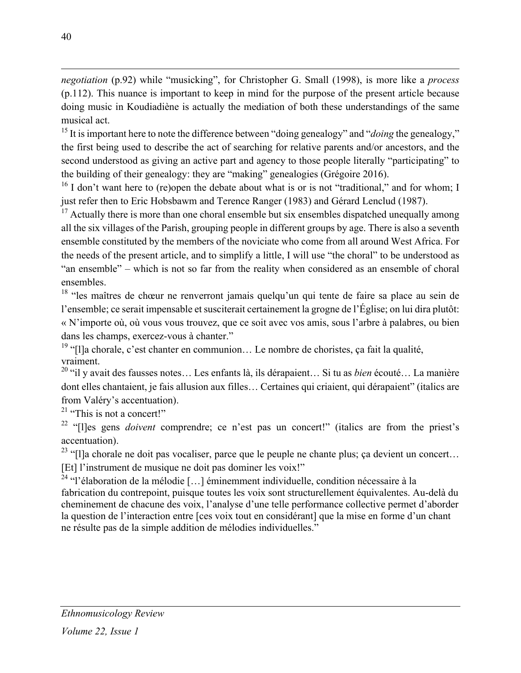*negotiation* (p.92) while "musicking", for Christopher G. Small (1998), is more like a *process* (p.112). This nuance is important to keep in mind for the purpose of the present article because doing music in Koudiadiène is actually the mediation of both these understandings of the same musical act.

 

<sup>15</sup> It is important here to note the difference between "doing genealogy" and "*doing* the genealogy," the first being used to describe the act of searching for relative parents and/or ancestors, and the second understood as giving an active part and agency to those people literally "participating" to the building of their genealogy: they are "making" genealogies (Grégoire 2016).

 $16$  I don't want here to (re)open the debate about what is or is not "traditional," and for whom; I just refer then to Eric Hobsbawm and Terence Ranger (1983) and Gérard Lenclud (1987).

 $17$  Actually there is more than one choral ensemble but six ensembles dispatched unequally among all the six villages of the Parish, grouping people in different groups by age. There is also a seventh ensemble constituted by the members of the noviciate who come from all around West Africa. For the needs of the present article, and to simplify a little, I will use "the choral" to be understood as "an ensemble" – which is not so far from the reality when considered as an ensemble of choral ensembles.

<sup>18</sup> "les maîtres de chœur ne renverront jamais quelqu'un qui tente de faire sa place au sein de l'ensemble; ce serait impensable et susciterait certainement la grogne de l'Église; on lui dira plutôt: « N'importe où, où vous vous trouvez, que ce soit avec vos amis, sous l'arbre à palabres, ou bien dans les champs, exercez-vous à chanter."

<sup>19</sup> "[l]a chorale, c'est chanter en communion... Le nombre de choristes, ça fait la qualité, vraiment.<br><sup>20</sup> "il y avait des fausses notes… Les enfants là, ils dérapaient… Si tu as *bien* écouté… La manière

dont elles chantaient, je fais allusion aux filles… Certaines qui criaient, qui dérapaient" (italics are from Valéry's accentuation).

 $21$  "This is not a concert!"

<sup>22</sup> "[l]es gens *doivent* comprendre; ce n'est pas un concert!" (italics are from the priest's accentuation).

<sup>23</sup> "[I]a chorale ne doit pas vocaliser, parce que le peuple ne chante plus; ça devient un concert...

[Et] l'instrument de musique ne doit pas dominer les voix!"

 $^{24}$  "l'élaboration de la mélodie [...] éminemment individuelle, condition nécessaire à la fabrication du contrepoint, puisque toutes les voix sont structurellement équivalentes. Au-delà du cheminement de chacune des voix, l'analyse d'une telle performance collective permet d'aborder la question de l'interaction entre [ces voix tout en considérant] que la mise en forme d'un chant ne résulte pas de la simple addition de mélodies individuelles."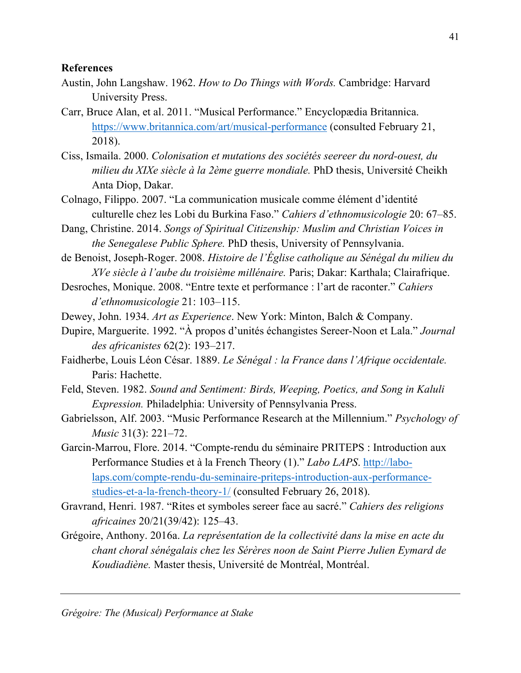#### **References**

- Austin, John Langshaw. 1962. *How to Do Things with Words.* Cambridge: Harvard University Press.
- Carr, Bruce Alan, et al. 2011. "Musical Performance." Encyclopædia Britannica. https://www.britannica.com/art/musical-performance (consulted February 21, 2018).
- Ciss, Ismaila. 2000. *Colonisation et mutations des sociétés seereer du nord-ouest, du milieu du XIXe siècle à la 2ème guerre mondiale.* PhD thesis, Université Cheikh Anta Diop, Dakar.
- Colnago, Filippo. 2007. "La communication musicale comme élément d'identité culturelle chez les Lobi du Burkina Faso." *Cahiers d'ethnomusicologie* 20: 67–85.
- Dang, Christine. 2014. *Songs of Spiritual Citizenship: Muslim and Christian Voices in the Senegalese Public Sphere.* PhD thesis, University of Pennsylvania.
- de Benoist, Joseph-Roger. 2008. *Histoire de l'Église catholique au Sénégal du milieu du XVe siècle à l'aube du troisième millénaire.* Paris; Dakar: Karthala; Clairafrique.
- Desroches, Monique. 2008. "Entre texte et performance : l'art de raconter." *Cahiers d'ethnomusicologie* 21: 103–115.
- Dewey, John. 1934. *Art as Experience*. New York: Minton, Balch & Company.
- Dupire, Marguerite. 1992. "À propos d'unités échangistes Sereer-Noon et Lala." *Journal des africanistes* 62(2): 193–217.
- Faidherbe, Louis Léon César. 1889. *Le Sénégal : la France dans l'Afrique occidentale.* Paris: Hachette.
- Feld, Steven. 1982. *Sound and Sentiment: Birds, Weeping, Poetics, and Song in Kaluli Expression.* Philadelphia: University of Pennsylvania Press.
- Gabrielsson, Alf. 2003. "Music Performance Research at the Millennium." *Psychology of Music* 31(3): 221–72.
- Garcin-Marrou, Flore. 2014. "Compte-rendu du séminaire PRITEPS : Introduction aux Performance Studies et à la French Theory (1)." *Labo LAPS*. http://labolaps.com/compte-rendu-du-seminaire-priteps-introduction-aux-performancestudies-et-a-la-french-theory-1/ (consulted February 26, 2018).
- Gravrand, Henri. 1987. "Rites et symboles sereer face au sacré." *Cahiers des religions africaines* 20/21(39/42): 125–43.
- Grégoire, Anthony. 2016a. *La représentation de la collectivité dans la mise en acte du chant choral sénégalais chez les Sérères noon de Saint Pierre Julien Eymard de Koudiadiène.* Master thesis, Université de Montréal, Montréal.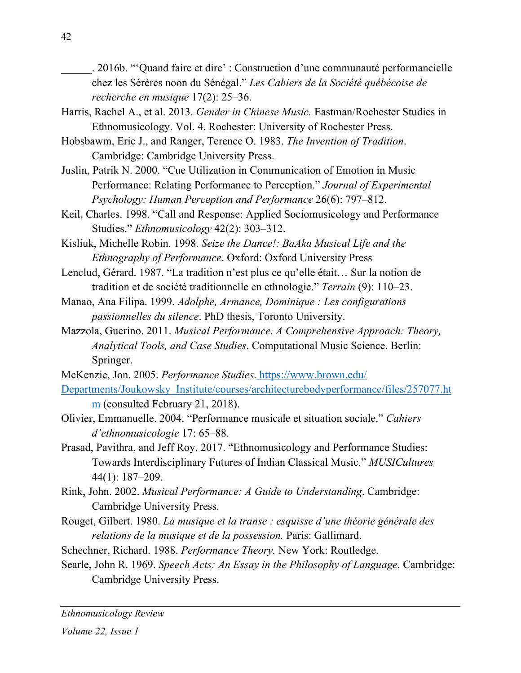. 2016b. "'Quand faire et dire' : Construction d'une communauté performancielle chez les Sérères noon du Sénégal." *Les Cahiers de la Société québécoise de recherche en musique* 17(2): 25–36.

- Harris, Rachel A., et al. 2013. *Gender in Chinese Music.* Eastman/Rochester Studies in Ethnomusicology. Vol. 4. Rochester: University of Rochester Press.
- Hobsbawm, Eric J., and Ranger, Terence O. 1983. *The Invention of Tradition*. Cambridge: Cambridge University Press.
- Juslin, Patrik N. 2000. "Cue Utilization in Communication of Emotion in Music Performance: Relating Performance to Perception." *Journal of Experimental Psychology: Human Perception and Performance* 26(6): 797–812.
- Keil, Charles. 1998. "Call and Response: Applied Sociomusicology and Performance Studies." *Ethnomusicology* 42(2): 303–312.
- Kisliuk, Michelle Robin. 1998. *Seize the Dance!: BaAka Musical Life and the Ethnography of Performance*. Oxford: Oxford University Press
- Lenclud, Gérard. 1987. "La tradition n'est plus ce qu'elle était… Sur la notion de tradition et de société traditionnelle en ethnologie." *Terrain* (9): 110–23.
- Manao, Ana Filipa. 1999. *Adolphe, Armance, Dominique : Les configurations passionnelles du silence*. PhD thesis, Toronto University.
- Mazzola, Guerino. 2011. *Musical Performance. A Comprehensive Approach: Theory, Analytical Tools, and Case Studies*. Computational Music Science. Berlin: Springer.
- McKenzie, Jon. 2005. *Performance Studies*. https://www.brown.edu/ Departments/Joukowsky\_Institute/courses/architecturebodyperformance/files/257077.ht m (consulted February 21, 2018).
- Olivier, Emmanuelle. 2004. "Performance musicale et situation sociale." *Cahiers d'ethnomusicologie* 17: 65–88.
- Prasad, Pavithra, and Jeff Roy. 2017. "Ethnomusicology and Performance Studies: Towards Interdisciplinary Futures of Indian Classical Music." *MUSICultures* 44(1): 187–209.
- Rink, John. 2002. *Musical Performance: A Guide to Understanding*. Cambridge: Cambridge University Press.
- Rouget, Gilbert. 1980. *La musique et la transe : esquisse d'une théorie générale des relations de la musique et de la possession.* Paris: Gallimard.
- Schechner, Richard. 1988. *Performance Theory.* New York: Routledge.
- Searle, John R. 1969. *Speech Acts: An Essay in the Philosophy of Language.* Cambridge: Cambridge University Press.